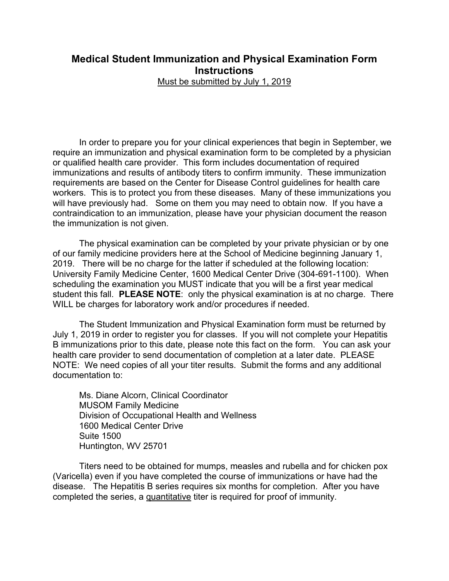## **Medical Student Immunization and Physical Examination Form Instructions** Must be submitted by July 1, 2019

In order to prepare you for your clinical experiences that begin in September, we require an immunization and physical examination form to be completed by a physician or qualified health care provider. This form includes documentation of required immunizations and results of antibody titers to confirm immunity. These immunization requirements are based on the Center for Disease Control guidelines for health care workers. This is to protect you from these diseases. Many of these immunizations you will have previously had. Some on them you may need to obtain now. If you have a contraindication to an immunization, please have your physician document the reason the immunization is not given.

The physical examination can be completed by your private physician or by one of our family medicine providers here at the School of Medicine beginning January 1, 2019. There will be no charge for the latter if scheduled at the following location: University Family Medicine Center, 1600 Medical Center Drive (304-691-1100). When scheduling the examination you MUST indicate that you will be a first year medical student this fall. **PLEASE NOTE**: only the physical examination is at no charge. There WILL be charges for laboratory work and/or procedures if needed.

The Student Immunization and Physical Examination form must be returned by July 1, 2019 in order to register you for classes. If you will not complete your Hepatitis B immunizations prior to this date, please note this fact on the form. You can ask your health care provider to send documentation of completion at a later date. PLEASE NOTE: We need copies of all your titer results. Submit the forms and any additional documentation to:

Ms. Diane Alcorn, Clinical Coordinator MUSOM Family Medicine Division of Occupational Health and Wellness 1600 Medical Center Drive Suite 1500 Huntington, WV 25701

Titers need to be obtained for mumps, measles and rubella and for chicken pox (Varicella) even if you have completed the course of immunizations or have had the disease. The Hepatitis B series requires six months for completion. After you have completed the series, a quantitative titer is required for proof of immunity.